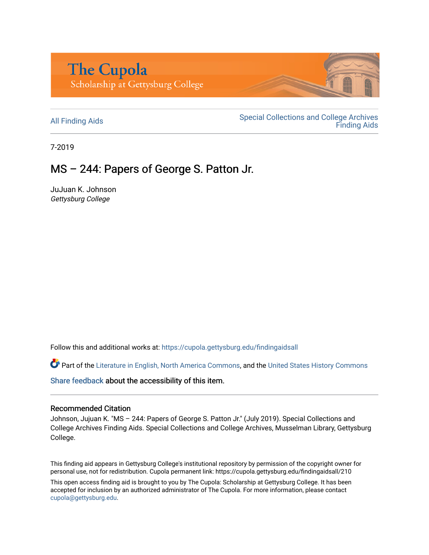

All Finding Aids<br>
All Finding Aids<br>
Special Collections and College Archives [Finding Aids](https://cupola.gettysburg.edu/findingaids) 

7-2019

## MS – 244: Papers of George S. Patton Jr.

JuJuan K. Johnson Gettysburg College

Follow this and additional works at: [https://cupola.gettysburg.edu/findingaidsall](https://cupola.gettysburg.edu/findingaidsall?utm_source=cupola.gettysburg.edu%2Ffindingaidsall%2F210&utm_medium=PDF&utm_campaign=PDFCoverPages) 

Part of the [Literature in English, North America Commons,](http://network.bepress.com/hgg/discipline/458?utm_source=cupola.gettysburg.edu%2Ffindingaidsall%2F210&utm_medium=PDF&utm_campaign=PDFCoverPages) and the United States History Commons

[Share feedback](https://docs.google.com/a/bepress.com/forms/d/1h9eEcpBPj5POs5oO6Y5A0blXRmZqykoonyYiZUNyEq8/viewform) about the accessibility of this item.

#### Recommended Citation

Johnson, Jujuan K. "MS – 244: Papers of George S. Patton Jr." (July 2019). Special Collections and College Archives Finding Aids. Special Collections and College Archives, Musselman Library, Gettysburg College.

This finding aid appears in Gettysburg College's institutional repository by permission of the copyright owner for personal use, not for redistribution. Cupola permanent link: https://cupola.gettysburg.edu/findingaidsall/210

This open access finding aid is brought to you by The Cupola: Scholarship at Gettysburg College. It has been accepted for inclusion by an authorized administrator of The Cupola. For more information, please contact [cupola@gettysburg.edu.](mailto:cupola@gettysburg.edu)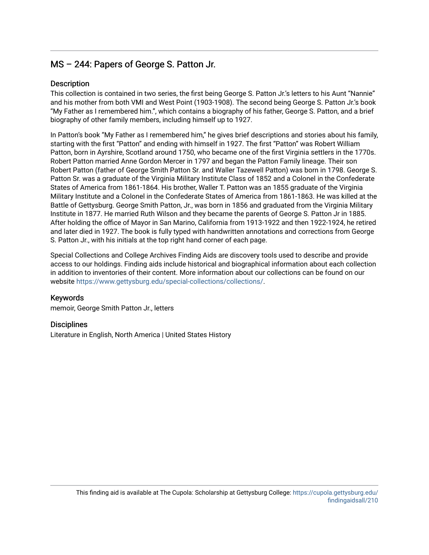## $MS - 244$ : Papers of George S. Patton Jr.

#### **Description**

This collection is contained in two series, the first being George S. Patton Jr.'s letters to his Aunt "Nannie" and his mother from both VMI and West Point (1903-1908). The second being George S. Patton Jr.'s book "My Father as I remembered him.", which contains a biography of his father, George S. Patton, and a brief biography of other family members, including himself up to 1927.

In Patton's book "My Father as I remembered him," he gives brief descriptions and stories about his family, starting with the first "Patton" and ending with himself in 1927. The first "Patton" was Robert William Patton, born in Ayrshire, Scotland around 1750, who became one of the first Virginia settlers in the 1770s. Robert Patton married Anne Gordon Mercer in 1797 and began the Patton Family lineage. Their son Robert Patton (father of George Smith Patton Sr. and Waller Tazewell Patton) was born in 1798. George S. Patton Sr. was a graduate of the Virginia Military Institute Class of 1852 and a Colonel in the Confederate States of America from 1861-1864. His brother, Waller T. Patton was an 1855 graduate of the Virginia Military Institute and a Colonel in the Confederate States of America from 1861-1863. He was killed at the Battle of Gettysburg. George Smith Patton, Jr., was born in 1856 and graduated from the Virginia Military Institute in 1877. He married Ruth Wilson and they became the parents of George S. Patton Jr in 1885. After holding the office of Mayor in San Marino, California from 1913-1922 and then 1922-1924, he retired and later died in 1927. The book is fully typed with handwritten annotations and corrections from George S. Patton Jr., with his initials at the top right hand corner of each page.

Special Collections and College Archives Finding Aids are discovery tools used to describe and provide access to our holdings. Finding aids include historical and biographical information about each collection in addition to inventories of their content. More information about our collections can be found on our website [https://www.gettysburg.edu/special-collections/collections/.](https://www.gettysburg.edu/special-collections/collections/)

#### Keywords

memoir, George Smith Patton Jr., letters

#### **Disciplines**

Literature in English, North America | United States History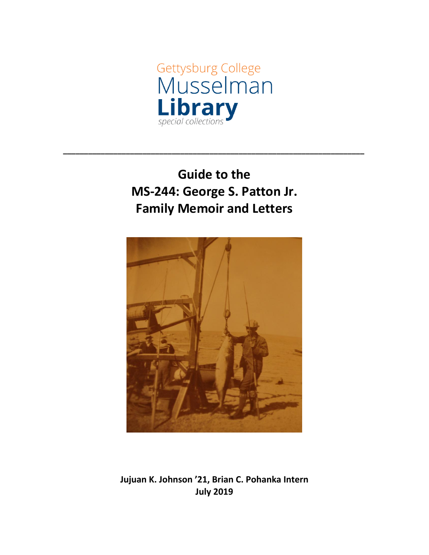

# **Guide to the MS-244: George S. Patton Jr. Family Memoir and Letters**

**\_\_\_\_\_\_\_\_\_\_\_\_\_\_\_\_\_\_\_\_\_\_\_\_\_\_\_\_\_\_\_\_\_\_\_\_\_\_\_\_\_\_\_\_\_\_\_\_\_\_\_\_\_\_\_\_\_\_\_\_\_\_\_\_\_\_\_\_\_\_\_\_**



**Jujuan K. Johnson '21, Brian C. Pohanka Intern July 2019**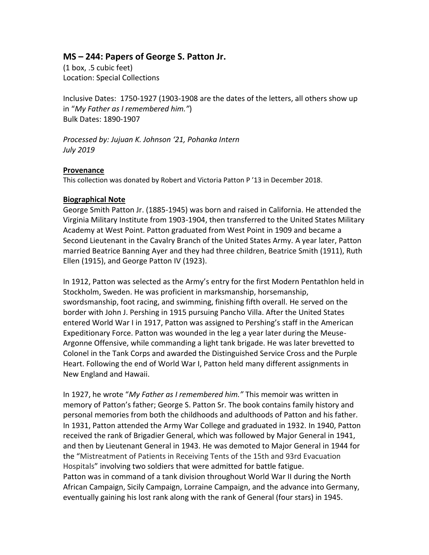### **MS – 244: Papers of George S. Patton Jr.**

(1 box, .5 cubic feet) Location: Special Collections

Inclusive Dates: 1750-1927 (1903-1908 are the dates of the letters, all others show up in "*My Father as I remembered him."*) Bulk Dates: 1890-1907

*Processed by: Jujuan K. Johnson '21, Pohanka Intern July 2019*

#### **Provenance**

This collection was donated by Robert and Victoria Patton P '13 in December 2018.

#### **Biographical Note**

George Smith Patton Jr. (1885-1945) was born and raised in California. He attended the Virginia Military Institute from 1903-1904, then transferred to the United States Military Academy at West Point. Patton graduated from West Point in 1909 and became a Second Lieutenant in the Cavalry Branch of the United States Army. A year later, Patton married Beatrice Banning Ayer and they had three children, Beatrice Smith (1911), Ruth Ellen (1915), and George Patton IV (1923).

In 1912, Patton was selected as the Army's entry for the first Modern Pentathlon held in Stockholm, Sweden. He was proficient in marksmanship, horsemanship, swordsmanship, foot racing, and swimming, finishing fifth overall. He served on the border with John J. Pershing in 1915 pursuing Pancho Villa. After the United States entered World War I in 1917, Patton was assigned to Pershing's staff in the American Expeditionary Force. Patton was wounded in the leg a year later during the Meuse-Argonne Offensive, while commanding a light tank brigade. He was later brevetted to Colonel in the Tank Corps and awarded the Distinguished Service Cross and the Purple Heart. Following the end of World War I, Patton held many different assignments in New England and Hawaii.

In 1927, he wrote "*My Father as I remembered him."* This memoir was written in memory of Patton's father; George S. Patton Sr. The book contains family history and personal memories from both the childhoods and adulthoods of Patton and his father. In 1931, Patton attended the Army War College and graduated in 1932. In 1940, Patton received the rank of Brigadier General, which was followed by Major General in 1941, and then by Lieutenant General in 1943. He was demoted to Major General in 1944 for the "Mistreatment of Patients in Receiving Tents of the 15th and 93rd Evacuation Hospitals" involving two soldiers that were admitted for battle fatigue. Patton was in command of a tank division throughout World War II during the North African Campaign, Sicily Campaign, Lorraine Campaign, and the advance into Germany, eventually gaining his lost rank along with the rank of General (four stars) in 1945.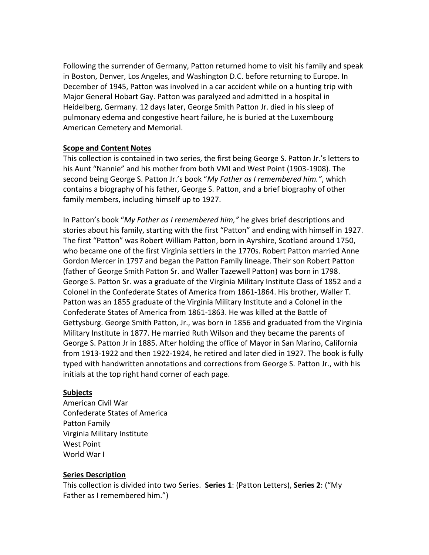Following the surrender of Germany, Patton returned home to visit his family and speak in Boston, Denver, Los Angeles, and Washington D.C. before returning to Europe. In December of 1945, Patton was involved in a car accident while on a hunting trip with Major General Hobart Gay. Patton was paralyzed and admitted in a hospital in Heidelberg, Germany. 12 days later, George Smith Patton Jr. died in his sleep of pulmonary edema and congestive heart failure, he is buried at the Luxembourg American Cemetery and Memorial.

#### **Scope and Content Notes**

This collection is contained in two series, the first being George S. Patton Jr.'s letters to his Aunt "Nannie" and his mother from both VMI and West Point (1903-1908). The second being George S. Patton Jr.'s book "*My Father as I remembered him."*, which contains a biography of his father, George S. Patton, and a brief biography of other family members, including himself up to 1927.

In Patton's book "*My Father as I remembered him,"* he gives brief descriptions and stories about his family, starting with the first "Patton" and ending with himself in 1927. The first "Patton" was Robert William Patton, born in Ayrshire, Scotland around 1750, who became one of the first Virginia settlers in the 1770s. Robert Patton married Anne Gordon Mercer in 1797 and began the Patton Family lineage. Their son Robert Patton (father of George Smith Patton Sr. and Waller Tazewell Patton) was born in 1798. George S. Patton Sr. was a graduate of the Virginia Military Institute Class of 1852 and a Colonel in the Confederate States of America from 1861-1864. His brother, Waller T. Patton was an 1855 graduate of the Virginia Military Institute and a Colonel in the Confederate States of America from 1861-1863. He was killed at the Battle of Gettysburg. George Smith Patton, Jr., was born in 1856 and graduated from the Virginia Military Institute in 1877. He married Ruth Wilson and they became the parents of George S. Patton Jr in 1885. After holding the office of Mayor in San Marino, California from 1913-1922 and then 1922-1924, he retired and later died in 1927. The book is fully typed with handwritten annotations and corrections from George S. Patton Jr., with his initials at the top right hand corner of each page.

#### **Subjects**

American Civil War Confederate States of America Patton Family Virginia Military Institute West Point World War I

#### **Series Description**

This collection is divided into two Series. **Series 1**: (Patton Letters), **Series 2**: ("My Father as I remembered him.")